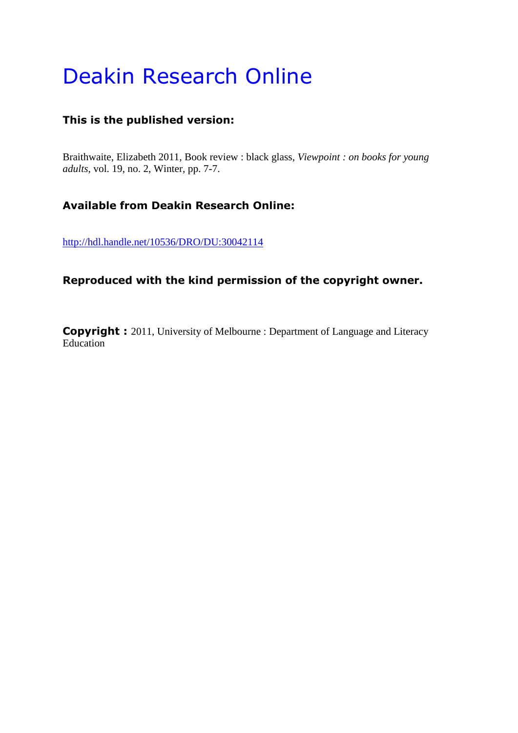## Deakin Research Online

## **This is the published version:**

Braithwaite, Elizabeth 2011, Book review : black glass*, Viewpoint : on books for young adults*, vol. 19, no. 2, Winter, pp. 7-7.

## **Available from Deakin Research Online:**

<http://hdl.handle.net/10536/DRO/DU:30042114>

## **Reproduced with the kind permission of the copyright owner.**

**Copyright :** 2011, University of Melbourne : Department of Language and Literacy Education